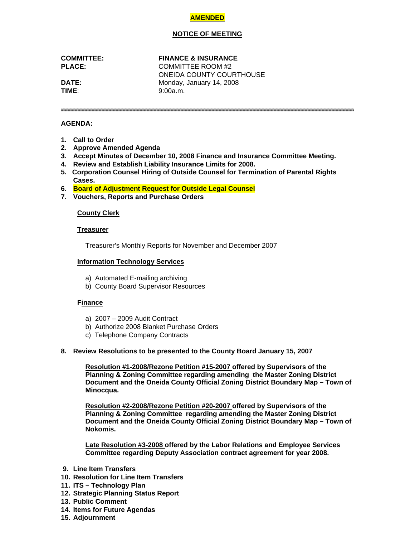# **AMENDED**

## **NOTICE OF MEETING**

#### **COMMITTEE: FINANCE & INSURANCE**

**PLACE:** COMMITTEE ROOM #2 ONEIDA COUNTY COURTHOUSE **DATE:** Monday, January 14, 2008 **TIME**: 9:00a.m.

## **AGENDA:**

- **1. Call to Order**
- **2. Approve Amended Agenda**
- **3. Accept Minutes of December 10, 2008 Finance and Insurance Committee Meeting.**
- **4. Review and Establish Liability Insurance Limits for 2008.**
- **5. Corporation Counsel Hiring of Outside Counsel for Termination of Parental Rights Cases.**
- **6. Board of Adjustment Request for Outside Legal Counsel**
- **7. Vouchers, Reports and Purchase Orders**

## **County Clerk**

## **Treasurer**

Treasurer's Monthly Reports for November and December 2007

## **Information Technology Services**

- a) Automated E-mailing archiving
- b) County Board Supervisor Resources

## **Finance**

- a) 2007 2009 Audit Contract
- b) Authorize 2008 Blanket Purchase Orders
- c) Telephone Company Contracts

## **8. Review Resolutions to be presented to the County Board January 15, 2007**

**Resolution #1-2008/Rezone Petition #15-2007 offered by Supervisors of the Planning & Zoning Committee regarding amending the Master Zoning District Document and the Oneida County Official Zoning District Boundary Map – Town of Minocqua.** 

**Resolution #2-2008/Rezone Petition #20-2007 offered by Supervisors of the Planning & Zoning Committee regarding amending the Master Zoning District Document and the Oneida County Official Zoning District Boundary Map – Town of Nokomis.** 

 **Late Resolution #3-2008 offered by the Labor Relations and Employee Services Committee regarding Deputy Association contract agreement for year 2008.** 

- **9. Line Item Transfers**
- **10. Resolution for Line Item Transfers**
- **11. ITS Technology Plan**
- **12. Strategic Planning Status Report**
- **13. Public Comment**
- **14. Items for Future Agendas**
- **15. Adjournment**